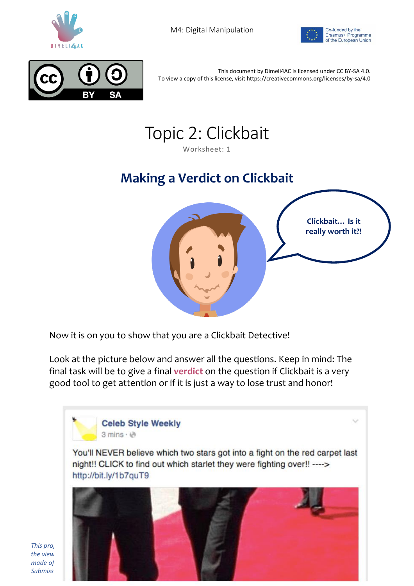

M4: Digital Manipulation





This document by Dimeli4AC is licensed under CC BY-SA 4.0. To view a copy of this license, visit https://creativecommons.org/licenses/by-sa/4.0



Worksheet: 1

## **Making a Verdict on Clickbait**



Now it is on you to show that you are a Clickbait Detective!

Look at the picture below and answer all the questions. Keep in mind: The final task will be to give a final **verdict** on the question if Clickbait is a very good tool to get attention or if it is just a way to lose trust and honor!



*made of Submission Number: 2018-1-DE03-KA201-047411*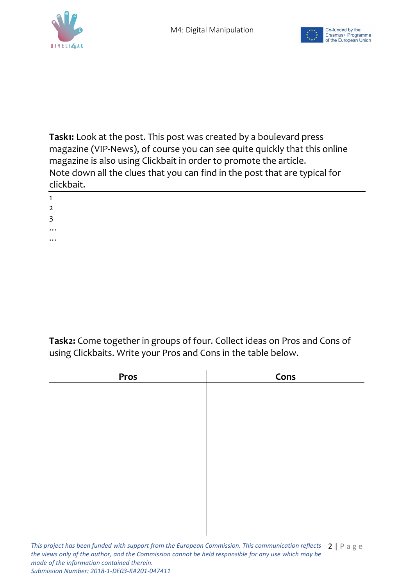



**Task1:** Look at the post. This post was created by a boulevard press magazine (VIP-News), of course you can see quite quickly that this online magazine is also using Clickbait in order to promote the article. Note down all the clues that you can find in the post that are typical for clickbait.

| 1        |  |  |  |
|----------|--|--|--|
| 2        |  |  |  |
| 3        |  |  |  |
| $\cdots$ |  |  |  |

…

1 2 3

**Task2:** Come together in groups of four. Collect ideas on Pros and Cons of using Clickbaits. Write your Pros and Cons in the table below.

| Pros | Cons |  |
|------|------|--|
|      |      |  |
|      |      |  |
|      |      |  |
|      |      |  |
|      |      |  |
|      |      |  |
|      |      |  |
|      |      |  |
|      |      |  |
|      |      |  |
|      |      |  |
|      |      |  |
|      |      |  |
|      |      |  |

*made of the information contained therein.* 

*Submission Number: 2018-1-DE03-KA201-047411*